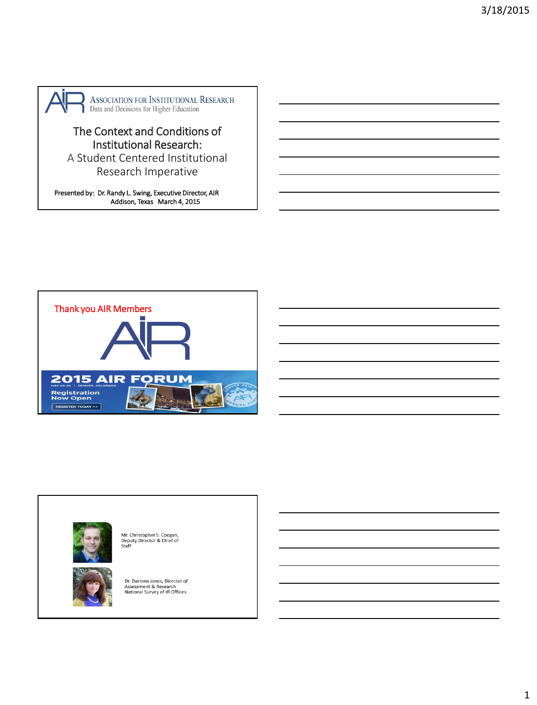

# The Context and Conditions of Institutional Research:

A Student Centered Institutional Research Imperative

Presented by: Dr. Randy L. Swing, Executive Director, AIR Addison, Texas March 4, 2015



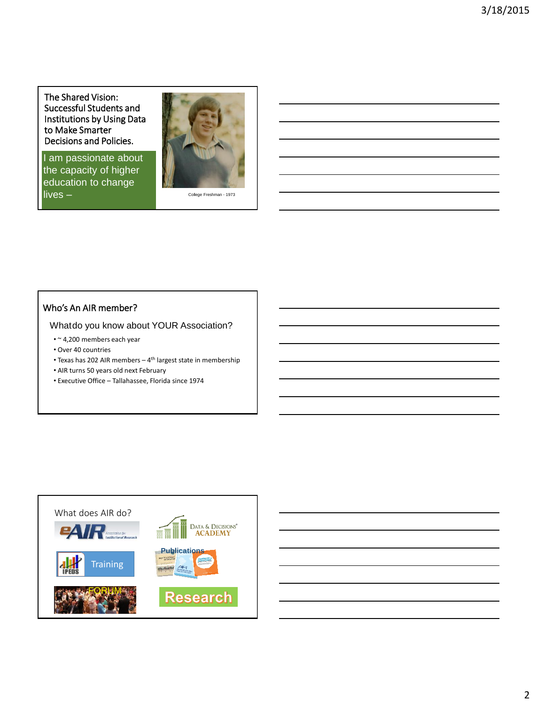The Shared Vision: Successful Students and Institutions by Using Data to Make Smarter Decisions and Policies.

I am passionate about the capacity of higher education to change lives –



College Freshman - 1973

### Who's An AIR member?

Whatdo you know about YOUR Association?

- ~ 4,200 members each year
- Over 40 countries
- Texas has 202 AIR members 4<sup>th</sup> largest state in membership
- AIR turns 50 years old next February
- Executive Office Tallahassee, Florida since 1974



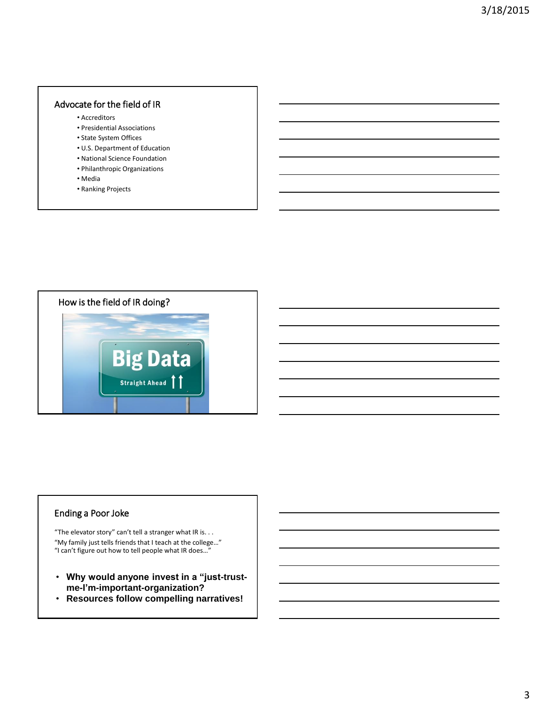#### Advocate for the field of IR

- Accreditors
- Presidential Associations
- State System Offices
- U.S. Department of Education
- National Science Foundation
- Philanthropic Organizations
- Media
- Ranking Projects



#### Ending a Poor Joke

"The elevator story" can't tell a stranger what IR is. . . "My family just tells friends that I teach at the college…" "I can't figure out how to tell people what IR does…"

- **Why would anyone invest in a "just-trustme-I'm-important-organization?**
- **Resources follow compelling narratives!**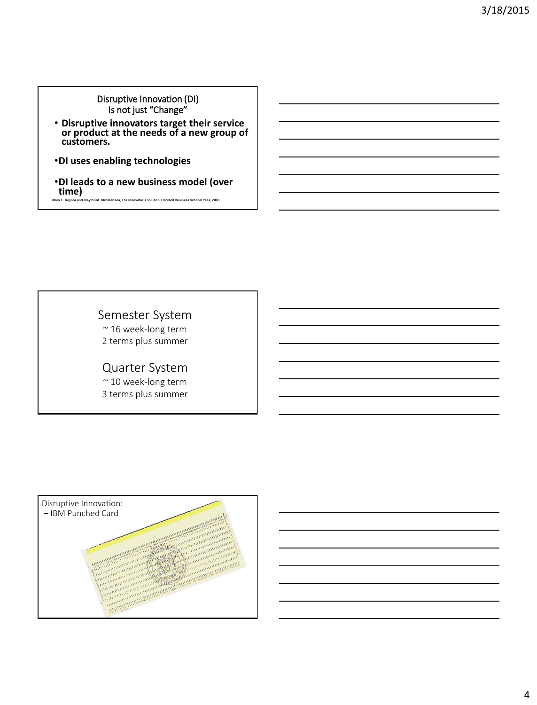Disruptive Innovation (DI) Is not just "Change"

- **Disruptive innovators target their service or product at the needs of a new group of customers.**
- •**DI uses enabling technologies**
- •**DI leads to a new business model (over time) Mark E. Raynor and Clayton M. Christensen, The Innovator's Solution, Harvard Business School Press, 2003.**

Semester System ~ 16 week-long term 2 terms plus summer

Quarter System

~ 10 week-long term 3 terms plus summer

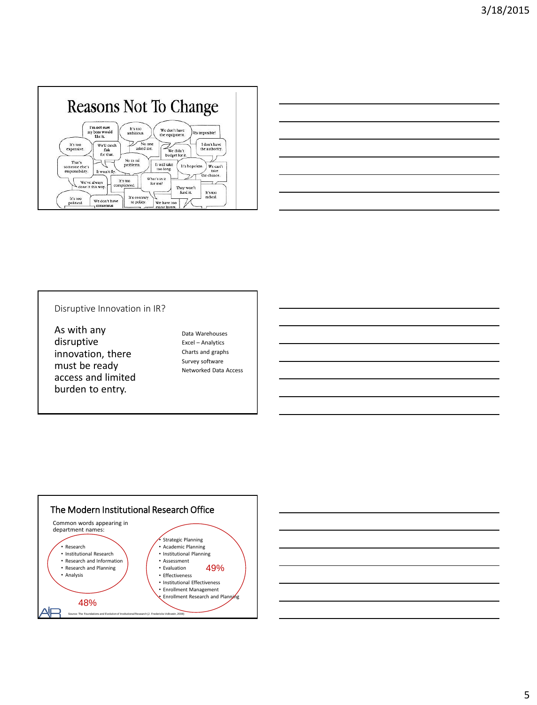|                                   | I'm not sure<br>It's too                | We don't have                    |                                                   |
|-----------------------------------|-----------------------------------------|----------------------------------|---------------------------------------------------|
|                                   | my boss would<br>ambitious.<br>like it. | the equipment.                   | Es imposible!                                     |
| It's too<br>expensive.            | We'll catch<br>flak                     | No one<br>asked me.<br>We didn't | I don't have<br>the authority.                    |
| That's                            | for that.<br>No es mi                   | budget for it.                   |                                                   |
| someone else's<br>responsibility. | problema.<br>It won't fly.              | It will take<br>too long.        | It's hopeless.<br>We can't<br>take<br>the chance. |



#### Disruptive Innovation in IR?

As with any disruptive innovation, there must be ready access and limited burden to entry.

Data Warehouses Excel – Analytics Charts and graphs Survey software Networked Data Access



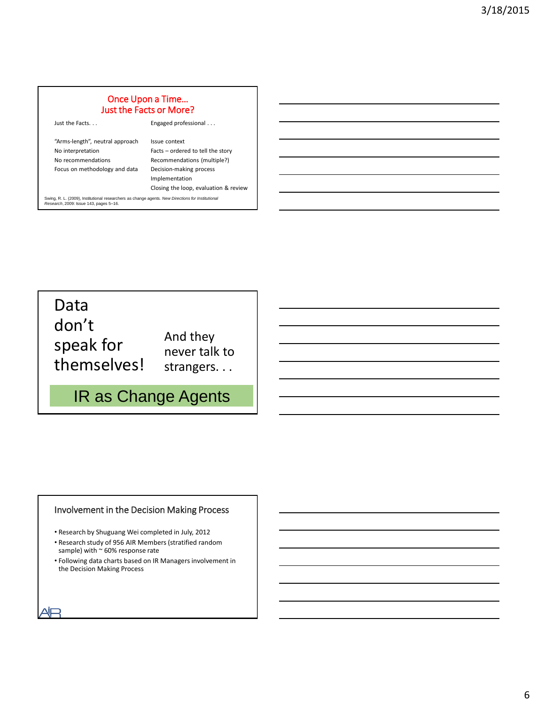## Once Upon a Time… Just the Facts or More?

| Just the Facts                                       | Engaged professional                               |
|------------------------------------------------------|----------------------------------------------------|
| "Arms-length", neutral approach<br>No interpretation | Issue context<br>Facts - ordered to tell the story |
| No recommendations                                   | Recommendations (multiple?)                        |
| Focus on methodology and data                        | Decision-making process<br>Implementation          |
|                                                      | Closing the loop, evaluation & review              |

Swing, R. L. (2009), Institutional researchers as change agents. *New Directions for Institutional Research*, 2009: Issue 143, pages 5–16.

Data don't speak for themselves!

And they never talk to strangers. . .

# IR as Change Agents

#### Involvement in the Decision Making Process

- Research by Shuguang Wei completed in July, 2012
- Research study of 956 AIR Members (stratified random sample) with  $\sim$  60% response rate
- Following data charts based on IR Managers involvement in the Decision Making Process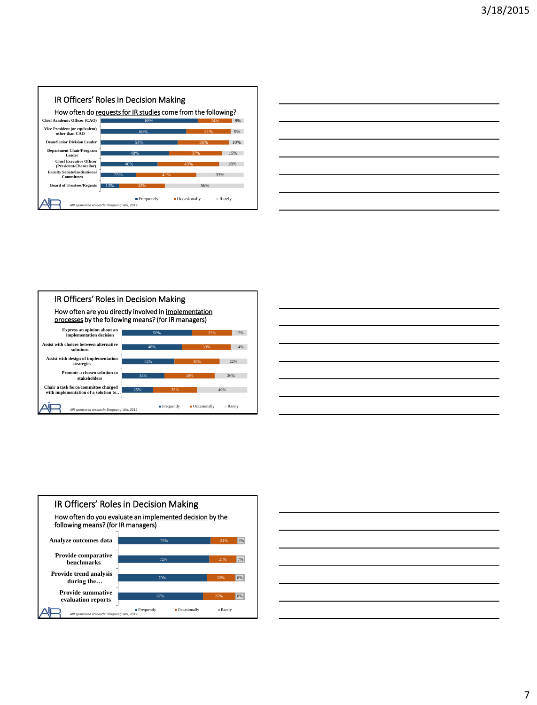#### IR Officers' Roles in Decision Making How often do requests for IR studies come from the following?





#### IR Officers' Roles in Decision Making How often are you directly involved in implementation processes by the following means? (for IR managers) 56% 48% 42% 34% 25% 39% 40% 12% 14% 22% 26% 40% **Express an opinion about an implementation decision Assist with choices between alternative solutions Assist with design of implementation strategies Promote a chosen solution to stakeholders Chair a task force/committee charged with implementation of a solution to…**  $\blacksquare$  Frequently  $\blacksquare$  Occasionally  $\blacksquare$  Rarely *AIR sponsored research: Shuguang Wei, 2012*





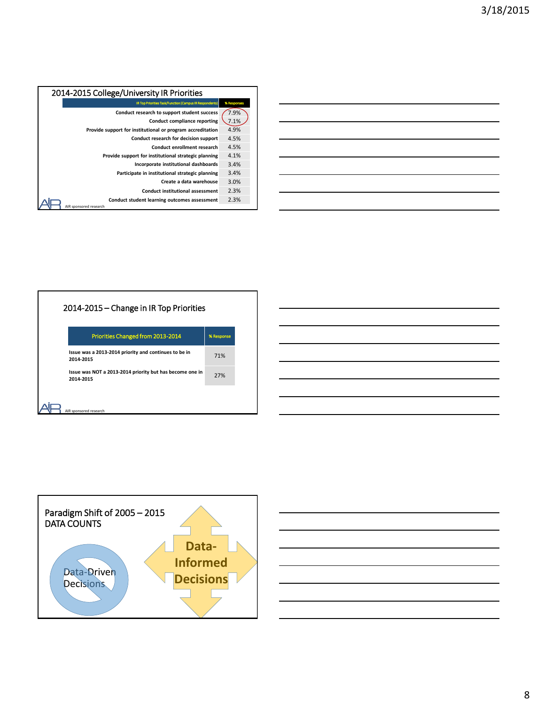| 2014-2015 College/University IR Priorities                 |             |  |  |  |
|------------------------------------------------------------|-------------|--|--|--|
| IR Top Priorities Task/Function (Campus IR Respondents)    | % Responses |  |  |  |
| Conduct research to support student success                | 7.9%        |  |  |  |
| <b>Conduct compliance reporting</b>                        | 7.1%        |  |  |  |
| Provide support for institutional or program accreditation | 4.9%        |  |  |  |
| Conduct research for decision support                      | 4.5%        |  |  |  |
| Conduct enrollment research                                | 4.5%        |  |  |  |
| Provide support for institutional strategic planning       | 4.1%        |  |  |  |
| Incorporate institutional dashboards                       | 3.4%        |  |  |  |
| Participate in institutional strategic planning            | 3.4%        |  |  |  |
| Create a data warehouse                                    | 3.0%        |  |  |  |
| <b>Conduct institutional assessment</b>                    | 2.3%        |  |  |  |
| Conduct student learning outcomes assessment               | 2.3%        |  |  |  |
| AIR sponsored research                                     |             |  |  |  |



#### 2014-2015 – Change in IR Top Priorities

|                        | <b>Priorities Changed from 2013-2014</b>                 | % Response |
|------------------------|----------------------------------------------------------|------------|
| 2014-2015              | Issue was a 2013-2014 priority and continues to be in    | 71%        |
| 2014-2015              | Issue was NOT a 2013-2014 priority but has become one in | 27%        |
|                        |                                                          |            |
| AIR sponsored research |                                                          |            |



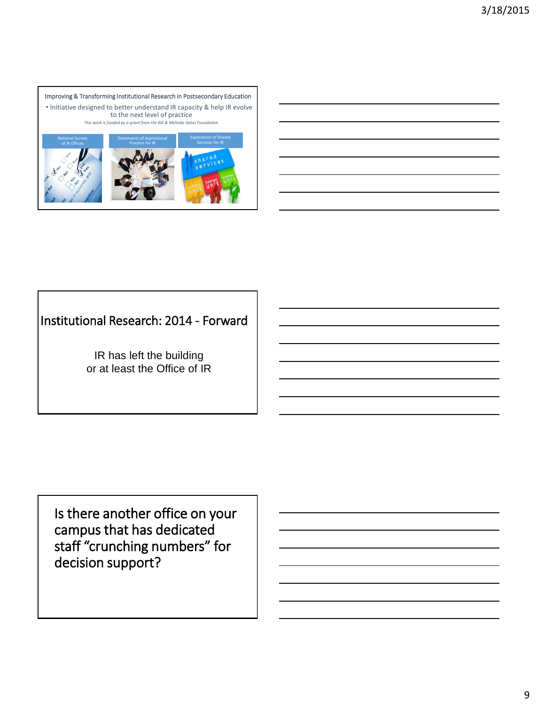

# Institutional Research: 2014 - Forward

IR has left the building or at least the Office of IR

Is there another office on your campus that has dedicated staff "crunching numbers" for decision support?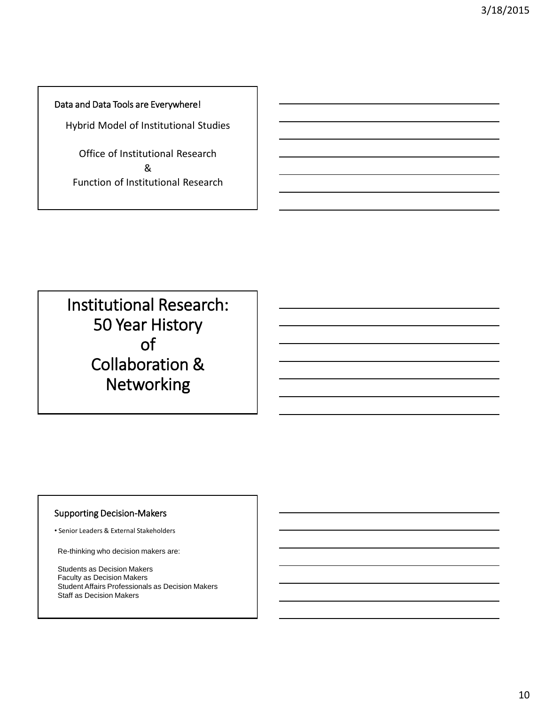Data and Data Tools are Everywhere!

Hybrid Model of Institutional Studies

Office of Institutional Research & Function of Institutional Research

Institutional Research: 50 Year History of Collaboration & **Networking** 

#### Supporting Decision-Makers

• Senior Leaders & External Stakeholders

Re-thinking who decision makers are:

Students as Decision Makers Faculty as Decision Makers Student Affairs Professionals as Decision Makers Staff as Decision Makers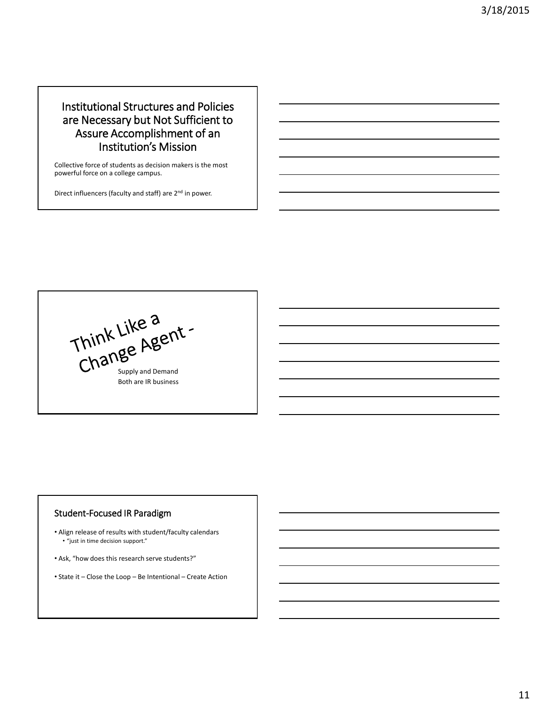## Institutional Structures and Policies are Necessary but Not Sufficient to Assure Accomplishment of an Institution's Mission

Collective force of students as decision makers is the most powerful force on a college campus.

Direct influencers (faculty and staff) are 2<sup>nd</sup> in power.

Think Like a<br>Change Agent -Both are IR business

#### Student-Focused IR Paradigm

- Align release of results with student/faculty calendars • "just in time decision support."
- Ask, "how does this research serve students?"
- State it Close the Loop Be Intentional Create Action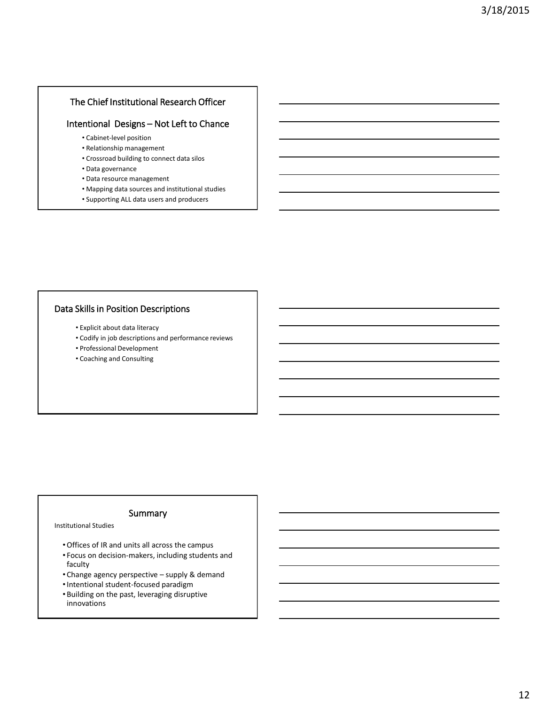#### The Chief Institutional Research Officer

#### Intentional Designs – Not Left to Chance

- Cabinet-level position
- Relationship management
- Crossroad building to connect data silos
- Data governance
- Data resource management
- Mapping data sources and institutional studies
- Supporting ALL data users and producers

#### Data Skills in Position Descriptions

- Explicit about data literacy
- Codify in job descriptions and performance reviews
- Professional Development
- Coaching and Consulting

#### Summary

Institutional Studies

- •Offices of IR and units all across the campus
- Focus on decision-makers, including students and faculty
- Change agency perspective supply & demand
- •Intentional student-focused paradigm
- Building on the past, leveraging disruptive innovations